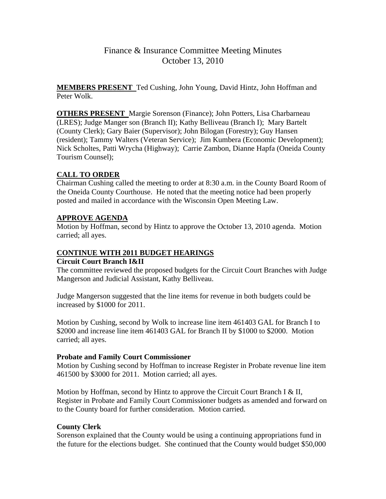**MEMBERS PRESENT** Ted Cushing, John Young, David Hintz, John Hoffman and Peter Wolk.

**OTHERS PRESENT** Margie Sorenson (Finance); John Potters, Lisa Charbarneau (LRES); Judge Manger son (Branch II); Kathy Belliveau (Branch I); Mary Bartelt (County Clerk); Gary Baier (Supervisor); John Bilogan (Forestry); Guy Hansen (resident); Tammy Walters (Veteran Service); Jim Kumbera (Economic Development); Nick Scholtes, Patti Wrycha (Highway); Carrie Zambon, Dianne Hapfa (Oneida County Tourism Counsel);

## **CALL TO ORDER**

Chairman Cushing called the meeting to order at 8:30 a.m. in the County Board Room of the Oneida County Courthouse. He noted that the meeting notice had been properly posted and mailed in accordance with the Wisconsin Open Meeting Law.

## **APPROVE AGENDA**

Motion by Hoffman, second by Hintz to approve the October 13, 2010 agenda. Motion carried; all ayes.

## **CONTINUE WITH 2011 BUDGET HEARINGS**

## **Circuit Court Branch I&II**

The committee reviewed the proposed budgets for the Circuit Court Branches with Judge Mangerson and Judicial Assistant, Kathy Belliveau.

Judge Mangerson suggested that the line items for revenue in both budgets could be increased by \$1000 for 2011.

Motion by Cushing, second by Wolk to increase line item 461403 GAL for Branch I to \$2000 and increase line item 461403 GAL for Branch II by \$1000 to \$2000. Motion carried; all ayes.

## **Probate and Family Court Commissioner**

Motion by Cushing second by Hoffman to increase Register in Probate revenue line item 461500 by \$3000 for 2011. Motion carried; all ayes.

Motion by Hoffman, second by Hintz to approve the Circuit Court Branch I & II, Register in Probate and Family Court Commissioner budgets as amended and forward on to the County board for further consideration. Motion carried.

## **County Clerk**

Sorenson explained that the County would be using a continuing appropriations fund in the future for the elections budget. She continued that the County would budget \$50,000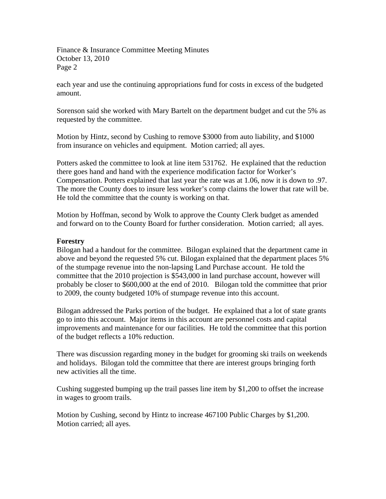each year and use the continuing appropriations fund for costs in excess of the budgeted amount.

Sorenson said she worked with Mary Bartelt on the department budget and cut the 5% as requested by the committee.

Motion by Hintz, second by Cushing to remove \$3000 from auto liability, and \$1000 from insurance on vehicles and equipment. Motion carried; all ayes.

Potters asked the committee to look at line item 531762. He explained that the reduction there goes hand and hand with the experience modification factor for Worker's Compensation. Potters explained that last year the rate was at 1.06, now it is down to .97. The more the County does to insure less worker's comp claims the lower that rate will be. He told the committee that the county is working on that.

Motion by Hoffman, second by Wolk to approve the County Clerk budget as amended and forward on to the County Board for further consideration. Motion carried; all ayes.

### **Forestry**

Bilogan had a handout for the committee. Bilogan explained that the department came in above and beyond the requested 5% cut. Bilogan explained that the department places 5% of the stumpage revenue into the non-lapsing Land Purchase account. He told the committee that the 2010 projection is \$543,000 in land purchase account, however will probably be closer to \$600,000 at the end of 2010. Bilogan told the committee that prior to 2009, the county budgeted 10% of stumpage revenue into this account.

Bilogan addressed the Parks portion of the budget. He explained that a lot of state grants go to into this account. Major items in this account are personnel costs and capital improvements and maintenance for our facilities. He told the committee that this portion of the budget reflects a 10% reduction.

There was discussion regarding money in the budget for grooming ski trails on weekends and holidays. Bilogan told the committee that there are interest groups bringing forth new activities all the time.

Cushing suggested bumping up the trail passes line item by \$1,200 to offset the increase in wages to groom trails.

Motion by Cushing, second by Hintz to increase 467100 Public Charges by \$1,200. Motion carried; all ayes.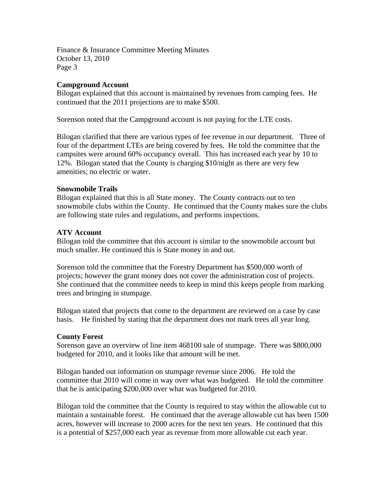### **Campground Account**

Bilogan explained that this account is maintained by revenues from camping fees. He continued that the 2011 projections are to make \$500.

Sorenson noted that the Campground account is not paying for the LTE costs.

Bilogan clarified that there are various types of fee revenue in our department. Three of four of the department LTEs are being covered by fees. He told the committee that the campsites were around 60% occupancy overall. This has increased each year by 10 to 12%. Bilogan stated that the County is charging \$10/night as there are very few amenities; no electric or water.

### **Snowmobile Trails**

Bilogan explained that this is all State money. The County contracts out to ten snowmobile clubs within the County. He continued that the County makes sure the clubs are following state rules and regulations, and performs inspections.

### **ATV Account**

Bilogan told the committee that this account is similar to the snowmobile account but much smaller. He continued this is State money in and out.

Sorenson told the committee that the Forestry Department has \$500,000 worth of projects; however the grant money does not cover the administration cost of projects. She continued that the committee needs to keep in mind this keeps people from marking trees and bringing in stumpage.

Bilogan stated that projects that come to the department are reviewed on a case by case basis. He finished by stating that the department does not mark trees all year long.

### **County Forest**

Sorenson gave an overview of line item 468100 sale of stumpage. There was \$800,000 budgeted for 2010, and it looks like that amount will be met.

Bilogan handed out information on stumpage revenue since 2006. He told the committee that 2010 will come in way over what was budgeted. He told the committee that he is anticipating \$200,000 over what was budgeted for 2010.

Bilogan told the committee that the County is required to stay within the allowable cut to maintain a sustainable forest. He continued that the average allowable cut has been 1500 acres, however will increase to 2000 acres for the next ten years. He continued that this is a potential of \$257,000 each year as revenue from more allowable cut each year.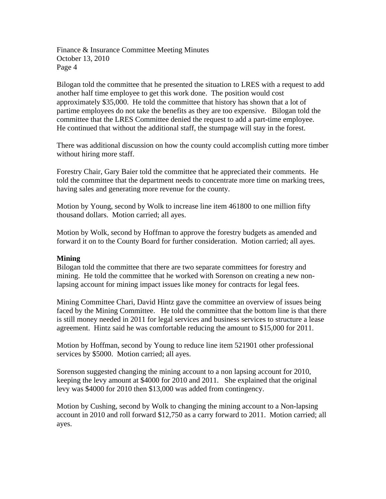Bilogan told the committee that he presented the situation to LRES with a request to add another half time employee to get this work done. The position would cost approximately \$35,000. He told the committee that history has shown that a lot of partime employees do not take the benefits as they are too expensive. Bilogan told the committee that the LRES Committee denied the request to add a part-time employee. He continued that without the additional staff, the stumpage will stay in the forest.

There was additional discussion on how the county could accomplish cutting more timber without hiring more staff.

Forestry Chair, Gary Baier told the committee that he appreciated their comments. He told the committee that the department needs to concentrate more time on marking trees, having sales and generating more revenue for the county.

Motion by Young, second by Wolk to increase line item 461800 to one million fifty thousand dollars. Motion carried; all ayes.

Motion by Wolk, second by Hoffman to approve the forestry budgets as amended and forward it on to the County Board for further consideration. Motion carried; all ayes.

### **Mining**

Bilogan told the committee that there are two separate committees for forestry and mining. He told the committee that he worked with Sorenson on creating a new nonlapsing account for mining impact issues like money for contracts for legal fees.

Mining Committee Chari, David Hintz gave the committee an overview of issues being faced by the Mining Committee. He told the committee that the bottom line is that there is still money needed in 2011 for legal services and business services to structure a lease agreement. Hintz said he was comfortable reducing the amount to \$15,000 for 2011.

Motion by Hoffman, second by Young to reduce line item 521901 other professional services by \$5000. Motion carried; all ayes.

Sorenson suggested changing the mining account to a non lapsing account for 2010, keeping the levy amount at \$4000 for 2010 and 2011. She explained that the original levy was \$4000 for 2010 then \$13,000 was added from contingency.

Motion by Cushing, second by Wolk to changing the mining account to a Non-lapsing account in 2010 and roll forward \$12,750 as a carry forward to 2011. Motion carried; all ayes.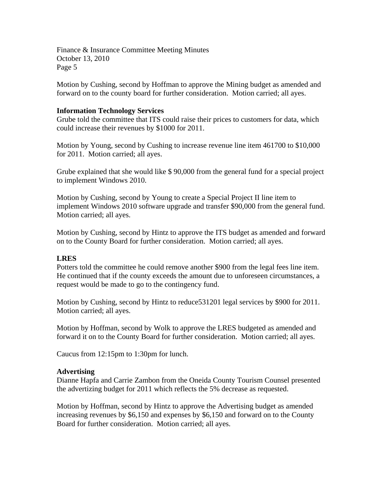Motion by Cushing, second by Hoffman to approve the Mining budget as amended and forward on to the county board for further consideration. Motion carried; all ayes.

#### **Information Technology Services**

Grube told the committee that ITS could raise their prices to customers for data, which could increase their revenues by \$1000 for 2011.

Motion by Young, second by Cushing to increase revenue line item 461700 to \$10,000 for 2011. Motion carried; all ayes.

Grube explained that she would like \$ 90,000 from the general fund for a special project to implement Windows 2010.

Motion by Cushing, second by Young to create a Special Project II line item to implement Windows 2010 software upgrade and transfer \$90,000 from the general fund. Motion carried; all ayes.

Motion by Cushing, second by Hintz to approve the ITS budget as amended and forward on to the County Board for further consideration. Motion carried; all ayes.

### **LRES**

Potters told the committee he could remove another \$900 from the legal fees line item. He continued that if the county exceeds the amount due to unforeseen circumstances, a request would be made to go to the contingency fund.

Motion by Cushing, second by Hintz to reduce531201 legal services by \$900 for 2011. Motion carried; all ayes.

Motion by Hoffman, second by Wolk to approve the LRES budgeted as amended and forward it on to the County Board for further consideration. Motion carried; all ayes.

Caucus from 12:15pm to 1:30pm for lunch.

#### **Advertising**

Dianne Hapfa and Carrie Zambon from the Oneida County Tourism Counsel presented the advertizing budget for 2011 which reflects the 5% decrease as requested.

Motion by Hoffman, second by Hintz to approve the Advertising budget as amended increasing revenues by \$6,150 and expenses by \$6,150 and forward on to the County Board for further consideration. Motion carried; all ayes.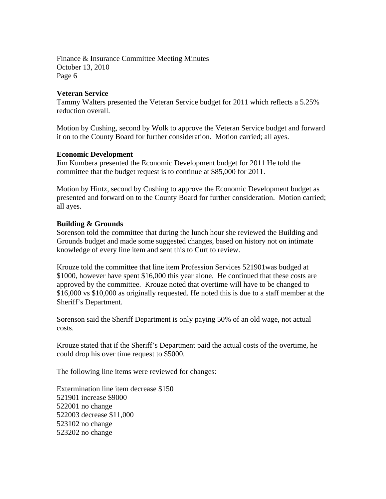### **Veteran Service**

Tammy Walters presented the Veteran Service budget for 2011 which reflects a 5.25% reduction overall.

Motion by Cushing, second by Wolk to approve the Veteran Service budget and forward it on to the County Board for further consideration. Motion carried; all ayes.

### **Economic Development**

Jim Kumbera presented the Economic Development budget for 2011 He told the committee that the budget request is to continue at \$85,000 for 2011.

Motion by Hintz, second by Cushing to approve the Economic Development budget as presented and forward on to the County Board for further consideration. Motion carried; all ayes.

### **Building & Grounds**

Sorenson told the committee that during the lunch hour she reviewed the Building and Grounds budget and made some suggested changes, based on history not on intimate knowledge of every line item and sent this to Curt to review.

Krouze told the committee that line item Profession Services 521901was budged at \$1000, however have spent \$16,000 this year alone. He continued that these costs are approved by the committee. Krouze noted that overtime will have to be changed to \$16,000 vs \$10,000 as originally requested. He noted this is due to a staff member at the Sheriff's Department.

Sorenson said the Sheriff Department is only paying 50% of an old wage, not actual costs.

Krouze stated that if the Sheriff's Department paid the actual costs of the overtime, he could drop his over time request to \$5000.

The following line items were reviewed for changes:

Extermination line item decrease \$150 521901 increase \$9000 522001 no change 522003 decrease \$11,000 523102 no change 523202 no change